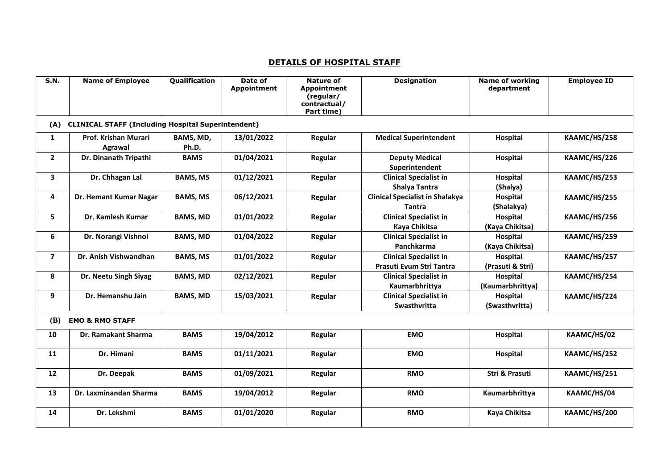## **DETAILS OF HOSPITAL STAFF**

| S.N.           | <b>Name of Employee</b>                                   | Qualification      | Date of<br><b>Appointment</b> | <b>Nature of</b><br><b>Appointment</b><br>(regular/<br>contractual/<br>Part time) | <b>Designation</b>                                        | <b>Name of working</b><br>department | <b>Employee ID</b> |  |  |  |  |
|----------------|-----------------------------------------------------------|--------------------|-------------------------------|-----------------------------------------------------------------------------------|-----------------------------------------------------------|--------------------------------------|--------------------|--|--|--|--|
| (A)            | <b>CLINICAL STAFF (Including Hospital Superintendent)</b> |                    |                               |                                                                                   |                                                           |                                      |                    |  |  |  |  |
| $\mathbf{1}$   | Prof. Krishan Murari<br>Agrawal                           | BAMS, MD,<br>Ph.D. | 13/01/2022                    | Regular                                                                           | <b>Medical Superintendent</b>                             | <b>Hospital</b>                      | KAAMC/HS/258       |  |  |  |  |
| $\mathbf{2}$   | Dr. Dinanath Tripathi                                     | <b>BAMS</b>        | 01/04/2021                    | Regular                                                                           | <b>Deputy Medical</b><br>Superintendent                   | <b>Hospital</b>                      | KAAMC/HS/226       |  |  |  |  |
| 3              | Dr. Chhagan Lal                                           | <b>BAMS, MS</b>    | 01/12/2021                    | Regular                                                                           | <b>Clinical Specialist in</b><br>Shalya Tantra            | <b>Hospital</b><br>(Shalya)          | KAAMC/HS/253       |  |  |  |  |
| 4              | Dr. Hemant Kumar Nagar                                    | <b>BAMS, MS</b>    | 06/12/2021                    | Regular                                                                           | <b>Clinical Specialist in Shalakya</b><br><b>Tantra</b>   | Hospital<br>(Shalakya)               | KAAMC/HS/255       |  |  |  |  |
| 5              | Dr. Kamlesh Kumar                                         | <b>BAMS, MD</b>    | 01/01/2022                    | Regular                                                                           | <b>Clinical Specialist in</b><br>Kaya Chikitsa            | Hospital<br>(Kaya Chikitsa)          | KAAMC/HS/256       |  |  |  |  |
| 6              | Dr. Norangi Vishnoi                                       | <b>BAMS, MD</b>    | 01/04/2022                    | Regular                                                                           | <b>Clinical Specialist in</b><br>Panchkarma               | Hospital<br>(Kaya Chikitsa)          | KAAMC/HS/259       |  |  |  |  |
| $\overline{7}$ | Dr. Anish Vishwandhan                                     | <b>BAMS, MS</b>    | 01/01/2022                    | Regular                                                                           | <b>Clinical Specialist in</b><br>Prasuti Evum Stri Tantra | <b>Hospital</b><br>(Prasuti & Stri)  | KAAMC/HS/257       |  |  |  |  |
| 8              | Dr. Neetu Singh Siyag                                     | <b>BAMS, MD</b>    | 02/12/2021                    | Regular                                                                           | <b>Clinical Specialist in</b><br>Kaumarbhrittya           | Hospital<br>(Kaumarbhrittya)         | KAAMC/HS/254       |  |  |  |  |
| 9              | Dr. Hemanshu Jain                                         | <b>BAMS, MD</b>    | 15/03/2021                    | Regular                                                                           | <b>Clinical Specialist in</b><br>Swasthvritta             | Hospital<br>(Swasthvritta)           | KAAMC/HS/224       |  |  |  |  |
| (B)            | <b>EMO &amp; RMO STAFF</b>                                |                    |                               |                                                                                   |                                                           |                                      |                    |  |  |  |  |
| 10             | Dr. Ramakant Sharma                                       | <b>BAMS</b>        | 19/04/2012                    | Regular                                                                           | <b>EMO</b>                                                | Hospital                             | KAAMC/HS/02        |  |  |  |  |
| 11             | Dr. Himani                                                | <b>BAMS</b>        | 01/11/2021                    | Regular                                                                           | <b>EMO</b>                                                | Hospital                             | KAAMC/HS/252       |  |  |  |  |
| 12             | Dr. Deepak                                                | <b>BAMS</b>        | 01/09/2021                    | Regular                                                                           | <b>RMO</b>                                                | Stri & Prasuti                       | KAAMC/HS/251       |  |  |  |  |
| 13             | Dr. Laxminandan Sharma                                    | <b>BAMS</b>        | 19/04/2012                    | Regular                                                                           | <b>RMO</b>                                                | Kaumarbhrittya                       | KAAMC/HS/04        |  |  |  |  |
| 14             | Dr. Lekshmi                                               | <b>BAMS</b>        | 01/01/2020                    | Regular                                                                           | <b>RMO</b>                                                | <b>Kaya Chikitsa</b>                 | KAAMC/HS/200       |  |  |  |  |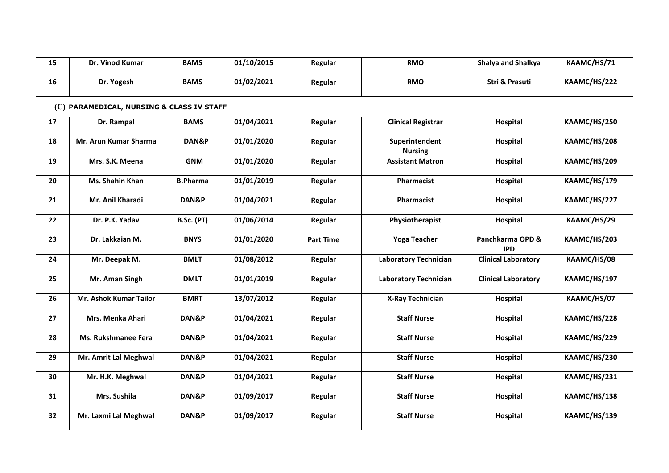| 15 | Dr. Vinod Kumar                           | <b>BAMS</b>       | 01/10/2015 | Regular          | <b>RMO</b>                       | Shalya and Shalkya             | KAAMC/HS/71  |
|----|-------------------------------------------|-------------------|------------|------------------|----------------------------------|--------------------------------|--------------|
| 16 | Dr. Yogesh                                | <b>BAMS</b>       | 01/02/2021 | Regular          | <b>RMO</b>                       | Stri & Prasuti                 | KAAMC/HS/222 |
|    | (C) PARAMEDICAL, NURSING & CLASS IV STAFF |                   |            |                  |                                  |                                |              |
| 17 | Dr. Rampal                                | <b>BAMS</b>       | 01/04/2021 | Regular          | <b>Clinical Registrar</b>        | Hospital                       | KAAMC/HS/250 |
| 18 | Mr. Arun Kumar Sharma                     | DAN&P             | 01/01/2020 | Regular          | Superintendent<br><b>Nursing</b> | Hospital                       | KAAMC/HS/208 |
| 19 | Mrs. S.K. Meena                           | <b>GNM</b>        | 01/01/2020 | Regular          | <b>Assistant Matron</b>          | Hospital                       | KAAMC/HS/209 |
| 20 | Ms. Shahin Khan                           | <b>B.Pharma</b>   | 01/01/2019 | Regular          | Pharmacist                       | Hospital                       | KAAMC/HS/179 |
| 21 | Mr. Anil Kharadi                          | DAN&P             | 01/04/2021 | Regular          | Pharmacist                       | Hospital                       | KAAMC/HS/227 |
| 22 | Dr. P.K. Yadav                            | <b>B.Sc. (PT)</b> | 01/06/2014 | Regular          | Physiotherapist                  | Hospital                       | KAAMC/HS/29  |
| 23 | Dr. Lakkaian M.                           | <b>BNYS</b>       | 01/01/2020 | <b>Part Time</b> | <b>Yoga Teacher</b>              | Panchkarma OPD &<br><b>IPD</b> | KAAMC/HS/203 |
| 24 | Mr. Deepak M.                             | <b>BMLT</b>       | 01/08/2012 | Regular          | <b>Laboratory Technician</b>     | <b>Clinical Laboratory</b>     | KAAMC/HS/08  |
| 25 | Mr. Aman Singh                            | <b>DMLT</b>       | 01/01/2019 | Regular          | <b>Laboratory Technician</b>     | <b>Clinical Laboratory</b>     | KAAMC/HS/197 |
| 26 | Mr. Ashok Kumar Tailor                    | <b>BMRT</b>       | 13/07/2012 | Regular          | <b>X-Ray Technician</b>          | Hospital                       | KAAMC/HS/07  |
| 27 | Mrs. Menka Ahari                          | DAN&P             | 01/04/2021 | Regular          | <b>Staff Nurse</b>               | Hospital                       | KAAMC/HS/228 |
| 28 | Ms. Rukshmanee Fera                       | DAN&P             | 01/04/2021 | Regular          | <b>Staff Nurse</b>               | Hospital                       | KAAMC/HS/229 |
| 29 | Mr. Amrit Lal Meghwal                     | DAN&P             | 01/04/2021 | Regular          | <b>Staff Nurse</b>               | Hospital                       | KAAMC/HS/230 |
| 30 | Mr. H.K. Meghwal                          | DAN&P             | 01/04/2021 | Regular          | <b>Staff Nurse</b>               | Hospital                       | KAAMC/HS/231 |
| 31 | Mrs. Sushila                              | DAN&P             | 01/09/2017 | Regular          | <b>Staff Nurse</b>               | Hospital                       | KAAMC/HS/138 |
| 32 | Mr. Laxmi Lal Meghwal                     | DAN&P             | 01/09/2017 | Regular          | <b>Staff Nurse</b>               | Hospital                       | KAAMC/HS/139 |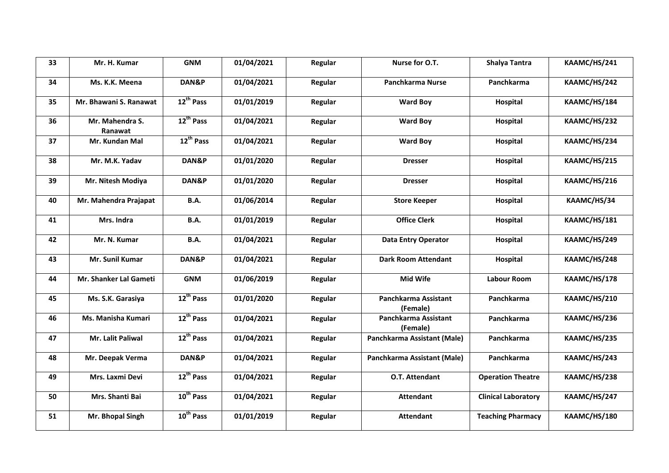| 33 | Mr. H. Kumar               | <b>GNM</b>            | 01/04/2021 | Regular | Nurse for O.T.                   | <b>Shalya Tantra</b>       | KAAMC/HS/241 |
|----|----------------------------|-----------------------|------------|---------|----------------------------------|----------------------------|--------------|
| 34 | Ms. K.K. Meena             | DAN&P                 | 01/04/2021 | Regular | Panchkarma Nurse                 | Panchkarma                 | KAAMC/HS/242 |
| 35 | Mr. Bhawani S. Ranawat     | 12 <sup>th</sup> Pass | 01/01/2019 | Regular | <b>Ward Boy</b>                  | <b>Hospital</b>            | KAAMC/HS/184 |
| 36 | Mr. Mahendra S.<br>Ranawat | 12 <sup>th</sup> Pass | 01/04/2021 | Regular | <b>Ward Boy</b>                  | Hospital                   | KAAMC/HS/232 |
| 37 | Mr. Kundan Mal             | 12 <sup>th</sup> Pass | 01/04/2021 | Regular | <b>Ward Boy</b>                  | Hospital                   | KAAMC/HS/234 |
| 38 | Mr. M.K. Yadav             | DAN&P                 | 01/01/2020 | Regular | <b>Dresser</b>                   | Hospital                   | KAAMC/HS/215 |
| 39 | Mr. Nitesh Modiya          | DAN&P                 | 01/01/2020 | Regular | <b>Dresser</b>                   | Hospital                   | KAAMC/HS/216 |
| 40 | Mr. Mahendra Prajapat      | <b>B.A.</b>           | 01/06/2014 | Regular | <b>Store Keeper</b>              | Hospital                   | KAAMC/HS/34  |
| 41 | Mrs. Indra                 | <b>B.A.</b>           | 01/01/2019 | Regular | <b>Office Clerk</b>              | Hospital                   | KAAMC/HS/181 |
| 42 | Mr. N. Kumar               | <b>B.A.</b>           | 01/04/2021 | Regular | <b>Data Entry Operator</b>       | Hospital                   | KAAMC/HS/249 |
| 43 | Mr. Sunil Kumar            | DAN&P                 | 01/04/2021 | Regular | <b>Dark Room Attendant</b>       | Hospital                   | KAAMC/HS/248 |
| 44 | Mr. Shanker Lal Gameti     | <b>GNM</b>            | 01/06/2019 | Regular | Mid Wife                         | <b>Labour Room</b>         | KAAMC/HS/178 |
| 45 | Ms. S.K. Garasiya          | $12^{th}$ Pass        | 01/01/2020 | Regular | Panchkarma Assistant<br>(Female) | Panchkarma                 | KAAMC/HS/210 |
| 46 | Ms. Manisha Kumari         | 12 <sup>th</sup> Pass | 01/04/2021 | Regular | Panchkarma Assistant<br>(Female) | Panchkarma                 | KAAMC/HS/236 |
| 47 | Mr. Lalit Paliwal          | 12 <sup>th</sup> Pass | 01/04/2021 | Regular | Panchkarma Assistant (Male)      | Panchkarma                 | KAAMC/HS/235 |
| 48 | Mr. Deepak Verma           | DAN&P                 | 01/04/2021 | Regular | Panchkarma Assistant (Male)      | Panchkarma                 | KAAMC/HS/243 |
| 49 | Mrs. Laxmi Devi            | 12 <sup>th</sup> Pass | 01/04/2021 | Regular | O.T. Attendant                   | <b>Operation Theatre</b>   | KAAMC/HS/238 |
| 50 | Mrs. Shanti Bai            | $10^{th}$ Pass        | 01/04/2021 | Regular | Attendant                        | <b>Clinical Laboratory</b> | KAAMC/HS/247 |
| 51 | Mr. Bhopal Singh           | 10 <sup>th</sup> Pass | 01/01/2019 | Regular | <b>Attendant</b>                 | <b>Teaching Pharmacy</b>   | KAAMC/HS/180 |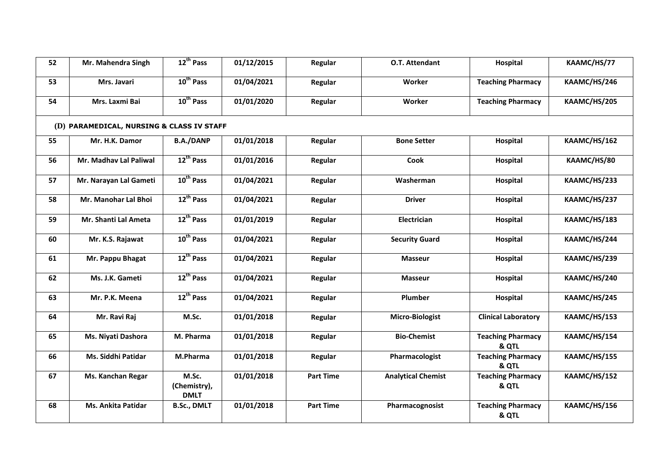| 52 | Mr. Mahendra Singh                        | 12 <sup>th</sup> Pass                | 01/12/2015 | Regular          | O.T. Attendant            | Hospital                          | KAAMC/HS/77  |  |  |  |  |
|----|-------------------------------------------|--------------------------------------|------------|------------------|---------------------------|-----------------------------------|--------------|--|--|--|--|
| 53 | Mrs. Javari                               | 10 <sup>th</sup> Pass                | 01/04/2021 | Regular          | Worker                    | <b>Teaching Pharmacy</b>          | KAAMC/HS/246 |  |  |  |  |
| 54 | Mrs. Laxmi Bai                            | 10 <sup>th</sup> Pass                | 01/01/2020 | Regular          | Worker                    | <b>Teaching Pharmacy</b>          | KAAMC/HS/205 |  |  |  |  |
|    | (D) PARAMEDICAL, NURSING & CLASS IV STAFF |                                      |            |                  |                           |                                   |              |  |  |  |  |
| 55 | Mr. H.K. Damor                            | <b>B.A./DANP</b>                     | 01/01/2018 | Regular          | <b>Bone Setter</b>        | Hospital                          | KAAMC/HS/162 |  |  |  |  |
| 56 | Mr. Madhav Lal Paliwal                    | 12 <sup>th</sup> Pass                | 01/01/2016 | Regular          | Cook                      | Hospital                          | KAAMC/HS/80  |  |  |  |  |
| 57 | Mr. Narayan Lal Gameti                    | 10 <sup>th</sup> Pass                | 01/04/2021 | Regular          | Washerman                 | Hospital                          | KAAMC/HS/233 |  |  |  |  |
| 58 | Mr. Manohar Lal Bhoi                      | 12 <sup>th</sup> Pass                | 01/04/2021 | Regular          | <b>Driver</b>             | Hospital                          | KAAMC/HS/237 |  |  |  |  |
| 59 | Mr. Shanti Lal Ameta                      | 12 <sup>th</sup> Pass                | 01/01/2019 | Regular          | Electrician               | Hospital                          | KAAMC/HS/183 |  |  |  |  |
| 60 | Mr. K.S. Rajawat                          | 10 <sup>th</sup> Pass                | 01/04/2021 | Regular          | <b>Security Guard</b>     | Hospital                          | KAAMC/HS/244 |  |  |  |  |
| 61 | Mr. Pappu Bhagat                          | 12 <sup>th</sup> Pass                | 01/04/2021 | Regular          | <b>Masseur</b>            | Hospital                          | KAAMC/HS/239 |  |  |  |  |
| 62 | Ms. J.K. Gameti                           | 12 <sup>th</sup> Pass                | 01/04/2021 | Regular          | <b>Masseur</b>            | Hospital                          | KAAMC/HS/240 |  |  |  |  |
| 63 | Mr. P.K. Meena                            | 12 <sup>th</sup> Pass                | 01/04/2021 | Regular          | Plumber                   | Hospital                          | KAAMC/HS/245 |  |  |  |  |
| 64 | Mr. Ravi Raj                              | M.Sc.                                | 01/01/2018 | Regular          | <b>Micro-Biologist</b>    | <b>Clinical Laboratory</b>        | KAAMC/HS/153 |  |  |  |  |
| 65 | Ms. Niyati Dashora                        | M. Pharma                            | 01/01/2018 | Regular          | <b>Bio-Chemist</b>        | <b>Teaching Pharmacy</b><br>& QTL | KAAMC/HS/154 |  |  |  |  |
| 66 | Ms. Siddhi Patidar                        | M.Pharma                             | 01/01/2018 | Regular          | Pharmacologist            | <b>Teaching Pharmacy</b><br>& QTL | KAAMC/HS/155 |  |  |  |  |
| 67 | Ms. Kanchan Regar                         | M.Sc.<br>(Chemistry),<br><b>DMLT</b> | 01/01/2018 | <b>Part Time</b> | <b>Analytical Chemist</b> | <b>Teaching Pharmacy</b><br>& QTL | KAAMC/HS/152 |  |  |  |  |
| 68 | <b>Ms. Ankita Patidar</b>                 | <b>B.Sc., DMLT</b>                   | 01/01/2018 | <b>Part Time</b> | Pharmacognosist           | <b>Teaching Pharmacy</b><br>& QTL | KAAMC/HS/156 |  |  |  |  |